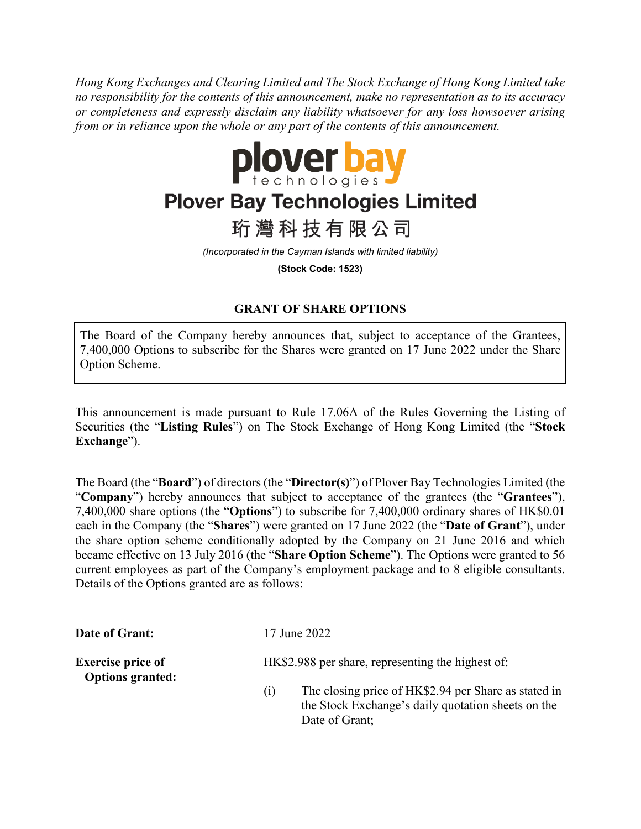*Hong Kong Exchanges and Clearing Limited and The Stock Exchange of Hong Kong Limited take no responsibility for the contents of this announcement, make no representation as to its accuracy or completeness and expressly disclaim any liability whatsoever for any loss howsoever arising from or in reliance upon the whole or any part of the contents of this announcement.*



## **Plover Bay Technologies Limited**

珩灣科技有限公司

*(Incorporated in the Cayman Islands with limited liability)*

**(Stock Code: 1523)**

## **GRANT OF SHARE OPTIONS**

The Board of the Company hereby announces that, subject to acceptance of the Grantees, 7,400,000 Options to subscribe for the Shares were granted on 17 June 2022 under the Share Option Scheme.

This announcement is made pursuant to Rule 17.06A of the Rules Governing the Listing of Securities (the "**Listing Rules**") on The Stock Exchange of Hong Kong Limited (the "**Stock Exchange**").

The Board (the "**Board**") of directors (the "**Director(s)**") of Plover Bay Technologies Limited (the "**Company**") hereby announces that subject to acceptance of the grantees (the "**Grantees**"), 7,400,000 share options (the "**Options**") to subscribe for 7,400,000 ordinary shares of HK\$0.01 each in the Company (the "**Shares**") were granted on 17 June 2022 (the "**Date of Grant**"), under the share option scheme conditionally adopted by the Company on 21 June 2016 and which became effective on 13 July 2016 (the "**Share Option Scheme**"). The Options were granted to 56 current employees as part of the Company's employment package and to 8 eligible consultants. Details of the Options granted are as follows:

| Date of Grant:                                             | 17 June 2022                                      |                                                                                                                              |
|------------------------------------------------------------|---------------------------------------------------|------------------------------------------------------------------------------------------------------------------------------|
| <b>Exercise price of</b><br><b>Options granted:</b><br>(1) | HK\$2.988 per share, representing the highest of: |                                                                                                                              |
|                                                            |                                                   | The closing price of HK\$2.94 per Share as stated in<br>the Stock Exchange's daily quotation sheets on the<br>Date of Grant; |